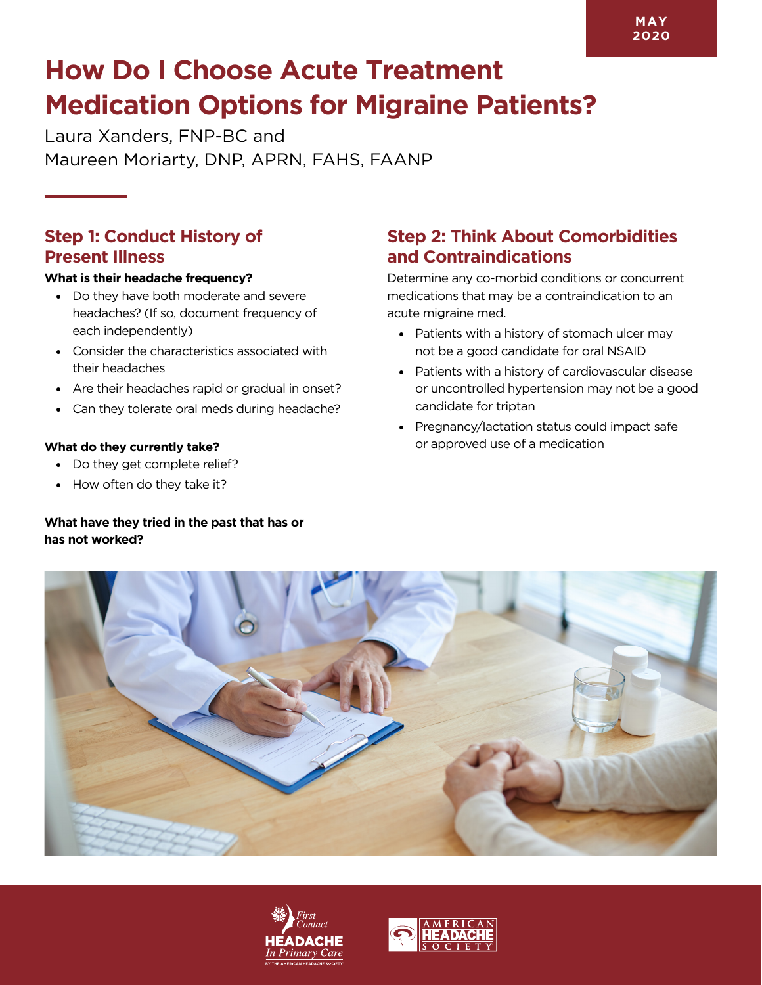# **How Do I Choose Acute Treatment Medication Options for Migraine Patients?**

Laura Xanders, FNP-BC and Maureen Moriarty, DNP, APRN, FAHS, FAANP

### **Step 1: Conduct History of Present Illness**

#### **What is their headache frequency?**

- Do they have both moderate and severe headaches? (If so, document frequency of each independently)
- Consider the characteristics associated with their headaches
- Are their headaches rapid or gradual in onset?
- Can they tolerate oral meds during headache?

#### **What do they currently take?**

- Do they get complete relief?
- How often do they take it?

### **What have they tried in the past that has or has not worked?**

## **Step 2: Think About Comorbidities and Contraindications**

Determine any co-morbid conditions or concurrent medications that may be a contraindication to an acute migraine med.

- Patients with a history of stomach ulcer may not be a good candidate for oral NSAID
- Patients with a history of cardiovascular disease or uncontrolled hypertension may not be a good candidate for triptan
- Pregnancy/lactation status could impact safe or approved use of a medication